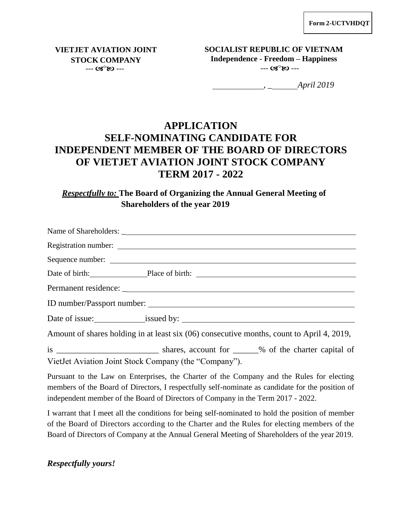**VIETJET AVIATION JOINT STOCK COMPANY**  $- - G S^0 R$ 

**SOCIALIST REPUBLIC OF VIETNAM Independence - Freedom – Happiness** --- **ශ**°හ ---

*, \_ April 2019*

## **APPLICATION SELF-NOMINATING CANDIDATE FOR INDEPENDENT MEMBER OF THE BOARD OF DIRECTORS OF VIETJET AVIATION JOINT STOCK COMPANY TERM 2017 - 2022**

*Respectfully to:* **The Board of Organizing the Annual General Meeting of Shareholders of the year 2019**

|                                                                                           | Sequence number:                               |
|-------------------------------------------------------------------------------------------|------------------------------------------------|
|                                                                                           | Date of birth: Place of birth: Place of birth: |
|                                                                                           |                                                |
|                                                                                           |                                                |
|                                                                                           |                                                |
| Amount of shares holding in at least six (06) consecutive months, count to April 4, 2019, |                                                |

is \_\_\_\_\_\_\_\_\_\_\_\_\_\_\_\_\_\_\_\_\_\_\_\_ shares, account for \_\_\_\_\_\_% of the charter capital of VietJet Aviation Joint Stock Company (the "Company").

Pursuant to the Law on Enterprises, the Charter of the Company and the Rules for electing members of the Board of Directors, I respectfully self-nominate as candidate for the position of independent member of the Board of Directors of Company in the Term 2017 - 2022.

I warrant that I meet all the conditions for being self-nominated to hold the position of member of the Board of Directors according to the Charter and the Rules for electing members of the Board of Directors of Company at the Annual General Meeting of Shareholders of the year 2019.

*Respectfully yours!*